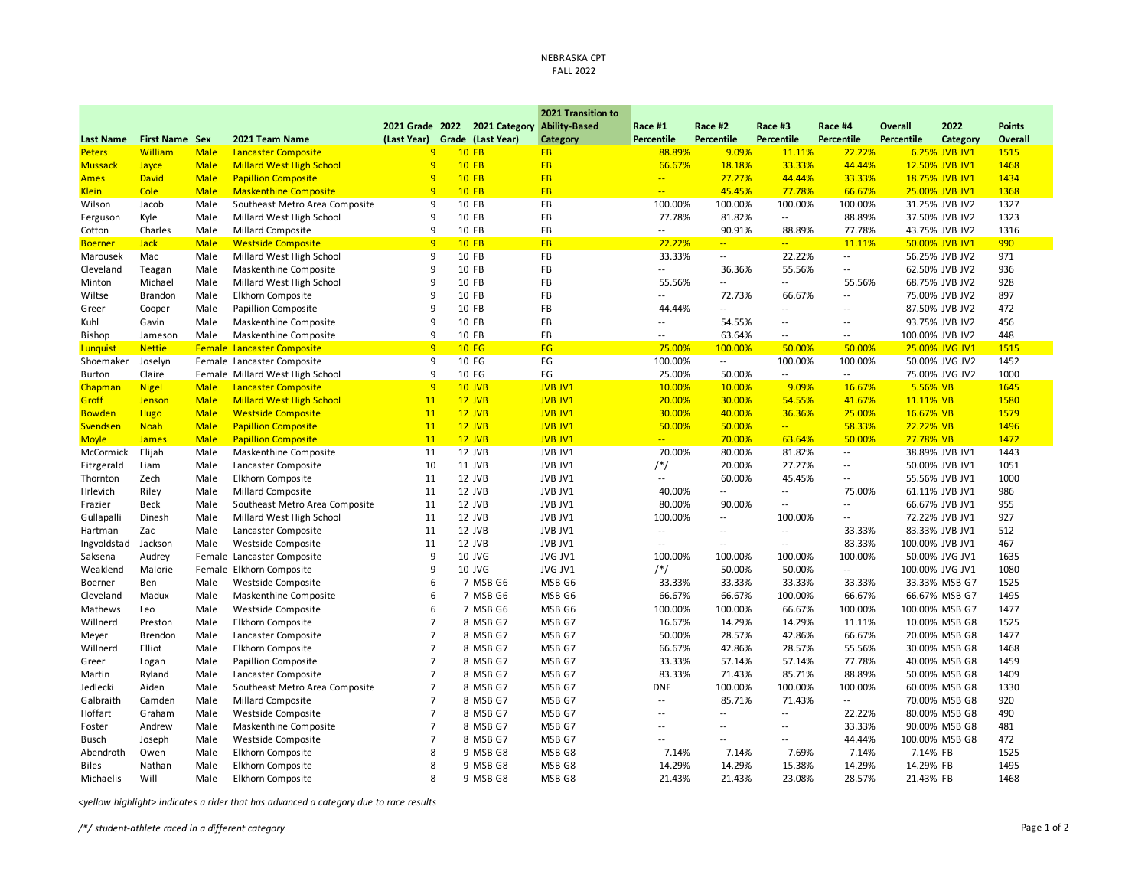## NEBRASKA CPT FALL 2022

|                  |                       |             |                                   |                 |                   | 2021 Transition to   |                            |                            |                             |                            |                |                 |                |
|------------------|-----------------------|-------------|-----------------------------------|-----------------|-------------------|----------------------|----------------------------|----------------------------|-----------------------------|----------------------------|----------------|-----------------|----------------|
|                  |                       |             |                                   | 2021 Grade 2022 | 2021 Category     | <b>Ability-Based</b> | Race #1                    | Race #2                    | Race #3                     | Race #4                    | <b>Overall</b> | 2022            | <b>Points</b>  |
| <b>Last Name</b> | <b>First Name Sex</b> |             | 2021 Team Name                    | (Last Year)     | Grade (Last Year) | Category             | Percentile                 | Percentile                 | Percentile                  | Percentile                 | Percentile     | Category        | <b>Overall</b> |
| <b>Peters</b>    | William               | <b>Male</b> | <b>Lancaster Composite</b>        | 9               | <b>10 FB</b>      | <b>FB</b>            | 88.89%                     | 9.09%                      | 11.11%                      | 22.22%                     |                | 6.25% JVB JV1   | 1515           |
| <b>Mussack</b>   | Jayce                 | <b>Male</b> | <b>Millard West High School</b>   | 9               | <b>10 FB</b>      | <b>FB</b>            | 66.67%                     | 18.18%                     | 33.33%                      | 44.44%                     |                | 12.50% JVB JV1  | 1468           |
| <b>Ames</b>      | <b>David</b>          | <b>Male</b> | <b>Papillion Composite</b>        | 9               | <b>10 FB</b>      | <b>FB</b>            | $\mathbb{Z}[\mathbb{Z}_p]$ | 27.27%                     | 44.44%                      | 33.33%                     |                | 18.75% JVB JV1  | 1434           |
| <b>Klein</b>     | Cole                  | <b>Male</b> | <b>Maskenthine Composite</b>      | 9               | <b>10 FB</b>      | <b>FB</b>            | $\overline{a}$             | 45.45%                     | 77.78%                      | 66.67%                     |                | 25.00% JVB JV1  | 1368           |
| Wilson           | Jacob                 | Male        | Southeast Metro Area Composite    | 9               | 10 FB             | FB                   | 100.00%                    | 100.00%                    | 100.00%                     | 100.00%                    |                | 31.25% JVB JV2  | 1327           |
| Ferguson         | Kyle                  | Male        | Millard West High School          | 9               | 10 FB             | FB                   | 77.78%                     | 81.82%                     | $\sim$                      | 88.89%                     |                | 37.50% JVB JV2  | 1323           |
| Cotton           | Charles               | Male        | <b>Millard Composite</b>          | 9               | 10 FB             | FB                   | $\overline{a}$             | 90.91%                     | 88.89%                      | 77.78%                     |                | 43.75% JVB JV2  | 1316           |
| <b>Boerner</b>   | <b>Jack</b>           | <b>Male</b> | <b>Westside Composite</b>         | 9               | <b>10 FB</b>      | <b>FB</b>            | 22.22%                     | $\mathbb{Z}[\mathbb{Z}_p]$ | $\mathbb{Z}[\mathbb{Z}_p]$  | 11.11%                     |                | 50.00% JVB JV1  | 990            |
| Marousek         | Mac                   | Male        | Millard West High School          | 9               | 10 FB             | FB                   | 33.33%                     | $\overline{\phantom{a}}$   | 22.22%                      | $\overline{a}$             |                | 56.25% JVB JV2  | 971            |
| Cleveland        | Teagan                | Male        | Maskenthine Composite             | 9               | 10 FB             | <b>FB</b>            | $\overline{\phantom{a}}$   | 36.36%                     | 55.56%                      | $\overline{\phantom{a}}$ . |                | 62.50% JVB JV2  | 936            |
| Minton           | Michael               | Male        | Millard West High School          | 9               | 10 FB             | <b>FB</b>            | 55.56%                     | $\sim$                     | $\sim$ $\sim$               | 55.56%                     |                | 68.75% JVB JV2  | 928            |
| Wiltse           | <b>Brandon</b>        | Male        | Elkhorn Composite                 | q               | 10 FB             | FB                   | $\overline{\phantom{a}}$   | 72.73%                     | 66.67%                      | $\overline{\phantom{a}}$   |                | 75.00% JVB JV2  | 897            |
| Greer            | Cooper                | Male        | Papillion Composite               | 9               | 10 FB             | FB                   | 44.44%                     | $\overline{\phantom{a}}$   | $\sim$ $-$                  | $\overline{\phantom{a}}$   |                | 87.50% JVB JV2  | 472            |
| Kuhl             | Gavin                 | Male        | Maskenthine Composite             | 9               | 10 FB             | FB                   | $\overline{\phantom{a}}$   | 54.55%                     | $\mathcal{L}_{\mathcal{A}}$ | $\overline{\phantom{a}}$   |                | 93.75% JVB JV2  | 456            |
| <b>Bishop</b>    | Jameson               | Male        | Maskenthine Composite             | 9               | 10 FB             | FB                   | $\overline{\phantom{a}}$   | 63.64%                     | $\sim$ $\sim$               | $\overline{a}$             |                | 100.00% JVB JV2 | 448            |
| Lunquist         | <b>Nettie</b>         |             | <b>Female Lancaster Composite</b> | 9               | <b>10 FG</b>      | FG                   | 75.00%                     | 100.00%                    | 50.00%                      | 50.00%                     |                | 25.00% JVG JV1  | 1515           |
| Shoemaker        | Joselyn               |             | Female Lancaster Composite        | 9               | 10 FG             | FG                   | 100.00%                    | $\sim$                     | 100.00%                     | 100.00%                    |                | 50.00% JVG JV2  | 1452           |
| <b>Burton</b>    | Claire                |             | Female Millard West High School   | 9               | 10 FG             | FG                   | 25.00%                     | 50.00%                     | $\sim$                      | $\overline{a}$             |                | 75.00% JVG JV2  | 1000           |
| Chapman          | <b>Nigel</b>          | <b>Male</b> | <b>Lancaster Composite</b>        | 9               | 10 JVB            | <b>JVB JV1</b>       | 10.00%                     | 10.00%                     | 9.09%                       | 16.67%                     | 5.56% VB       |                 | 1645           |
| Groff            | Jenson                | <b>Male</b> | <b>Millard West High School</b>   | 11              | 12 JVB            | <b>JVB JV1</b>       | 20.00%                     | 30.00%                     | 54.55%                      | 41.67%                     | 11.11% VB      |                 | 1580           |
| <b>Bowden</b>    | <b>Hugo</b>           | <b>Male</b> | <b>Westside Composite</b>         | 11              | $12$ JVB          | <b>JVB JV1</b>       | 30.00%                     | 40.00%                     | 36.36%                      | 25.00%                     | 16.67% VB      |                 | 1579           |
| Svendsen         | <b>Noah</b>           | <b>Male</b> | <b>Papillion Composite</b>        | 11              | 12 JVB            | <b>JVB JV1</b>       | 50.00%                     | 50.00%                     | $\frac{1}{2}$               | 58.33%                     | 22.22% VB      |                 | 1496           |
| <b>Moyle</b>     | <b>James</b>          | <b>Male</b> | <b>Papillion Composite</b>        | <sup>11</sup>   | 12 JVB            | <b>JVB JV1</b>       | a.                         | 70.00%                     | 63.64%                      | 50.00%                     | 27.78% VB      |                 | 1472           |
| McCormick        | Elijah                | Male        | Maskenthine Composite             | 11              | 12 JVB            | JVB JV1              | 70.00%                     | 80.00%                     | 81.82%                      | $\overline{\phantom{a}}$   |                | 38.89% JVB JV1  | 1443           |
| Fitzgerald       | Liam                  | Male        | Lancaster Composite               | 10              | 11 JVB            | JVB JV1              | $/*/$                      | 20.00%                     | 27.27%                      | $\overline{\phantom{a}}$   |                | 50.00% JVB JV1  | 1051           |
| Thornton         | Zech                  | Male        | Elkhorn Composite                 | 11              | 12 JVB            | JVB JV1              | $\overline{a}$             | 60.00%                     | 45.45%                      | $\sim$ $\sim$              |                | 55.56% JVB JV1  | 1000           |
| Hrlevich         | Riley                 | Male        | Millard Composite                 | 11              | 12 JVB            | JVB JV1              | 40.00%                     | $\overline{\phantom{a}}$   | $\overline{\phantom{a}}$    | 75.00%                     |                | 61.11% JVB JV1  | 986            |
| Frazier          | Beck                  | Male        | Southeast Metro Area Composite    | 11              | 12 JVB            | JVB JV1              | 80.00%                     | 90.00%                     | $\overline{\phantom{a}}$    | $\overline{\phantom{a}}$   |                | 66.67% JVB JV1  | 955            |
| Gullapalli       | Dinesh                | Male        | Millard West High School          | 11              | 12 JVB            | JVB JV1              | 100.00%                    | $\overline{\phantom{a}}$   | 100.00%                     | $\overline{\phantom{a}}$   |                | 72.22% JVB JV1  | 927            |
| Hartman          | Zac                   | Male        | Lancaster Composite               | 11              | 12 JVB            | JVB JV1              | $\overline{\phantom{a}}$   | $\sim$                     | $\mathcal{L}_{\mathcal{A}}$ | 33.33%                     |                | 83.33% JVB JV1  | 512            |
| Ingvoldstad      | Jackson               | Male        | Westside Composite                | 11              | 12 JVB            | JVB JV1              | $\sim$                     | $\sim$                     | $\overline{\phantom{a}}$    | 83.33%                     |                | 100.00% JVB JV1 | 467            |
| Saksena          | Audrey                |             | Female Lancaster Composite        | 9               | 10 JVG            | JVG JV1              | 100.00%                    | 100.00%                    | 100.00%                     | 100.00%                    |                | 50.00% JVG JV1  | 1635           |
| Weaklend         | Malorie               |             | Female Elkhorn Composite          | 9               | 10 JVG            | JVG JV1              | $/*/$                      | 50.00%                     | 50.00%                      | $\overline{a}$             |                | 100.00% JVG JV1 | 1080           |
| Boerner          | Ben                   | Male        | Westside Composite                | 6               | 7 MSB G6          | MSB G6               | 33.33%                     | 33.33%                     | 33.33%                      | 33.33%                     |                | 33.33% MSB G7   | 1525           |
| Cleveland        | Madux                 | Male        | Maskenthine Composite             | 6               | 7 MSB G6          | MSB G6               | 66.67%                     | 66.67%                     | 100.00%                     | 66.67%                     |                | 66.67% MSB G7   | 1495           |
| Mathews          | Leo                   | Male        | Westside Composite                | 6               | 7 MSB G6          | MSB G6               | 100.00%                    | 100.00%                    | 66.67%                      | 100.00%                    |                | 100.00% MSB G7  | 1477           |
| Willnerd         | Preston               | Male        | Elkhorn Composite                 | $\overline{7}$  | 8 MSB G7          | MSB G7               | 16.67%                     | 14.29%                     | 14.29%                      | 11.11%                     |                | 10.00% MSB G8   | 1525           |
| Meyer            | <b>Brendon</b>        | Male        | Lancaster Composite               | $\overline{7}$  | 8 MSB G7          | MSB G7               | 50.00%                     | 28.57%                     | 42.86%                      | 66.67%                     |                | 20.00% MSB G8   | 1477           |
| Willnerd         | Elliot                | Male        | Elkhorn Composite                 | $\overline{7}$  | 8 MSB G7          | MSB G7               | 66.67%                     | 42.86%                     | 28.57%                      | 55.56%                     |                | 30.00% MSB G8   | 1468           |
| Greer            | Logan                 | Male        | Papillion Composite               | $\overline{7}$  | 8 MSB G7          | MSB G7               | 33.33%                     | 57.14%                     | 57.14%                      | 77.78%                     |                | 40.00% MSB G8   | 1459           |
| Martin           | Ryland                | Male        | Lancaster Composite               | $\overline{7}$  | 8 MSB G7          | MSB G7               | 83.33%                     | 71.43%                     | 85.71%                      | 88.89%                     |                | 50.00% MSB G8   | 1409           |
| Jedlecki         | Aiden                 | Male        | Southeast Metro Area Composite    | $\overline{7}$  | 8 MSB G7          | MSB G7               | <b>DNF</b>                 | 100.00%                    | 100.00%                     | 100.00%                    |                | 60.00% MSB G8   | 1330           |
| Galbraith        | Camden                | Male        | <b>Millard Composite</b>          | $\overline{7}$  | 8 MSB G7          | MSB G7               | $\sim$                     | 85.71%                     | 71.43%                      | $\overline{\phantom{a}}$   |                | 70.00% MSB G8   | 920            |
| Hoffart          | Graham                | Male        | Westside Composite                | $\overline{7}$  | 8 MSB G7          | MSB G7               | $\overline{a}$             | $\sim$                     | $\mathbb{L}^{\mathbb{L}}$   | 22.22%                     |                | 80.00% MSB G8   | 490            |
| Foster           | Andrew                | Male        | Maskenthine Composite             | $\overline{7}$  | 8 MSB G7          | MSB G7               | $\sim$ $\sim$              | $\sim$                     | $\mathcal{L}_{\mathcal{A}}$ | 33.33%                     |                | 90.00% MSB G8   | 481            |
| <b>Busch</b>     | Joseph                | Male        | Westside Composite                | $\overline{7}$  | 8 MSB G7          | MSB G7               | $\overline{a}$             | $\sim$                     | $\overline{\phantom{a}}$    | 44.44%                     |                | 100.00% MSB G8  | 472            |
| Abendroth        | Owen                  | Male        | Elkhorn Composite                 | 8               | 9 MSB G8          | MSB G8               | 7.14%                      | 7.14%                      | 7.69%                       | 7.14%                      | 7.14% FB       |                 | 1525           |
| <b>Biles</b>     | Nathan                | Male        | <b>Elkhorn Composite</b>          | 8               | 9 MSB G8          | MSB G8               | 14.29%                     | 14.29%                     | 15.38%                      | 14.29%                     | 14.29% FB      |                 | 1495           |
| Michaelis        | Will                  | Male        | Elkhorn Composite                 | 8               | 9 MSB G8          | MSB G8               | 21.43%                     | 21.43%                     | 23.08%                      | 28.57%                     | 21.43% FB      |                 | 1468           |

*<yellow highlight> indicates a rider that has advanced a category due to race results*

*/\*/ student-athlete raced in a different category* Page 1 of 2